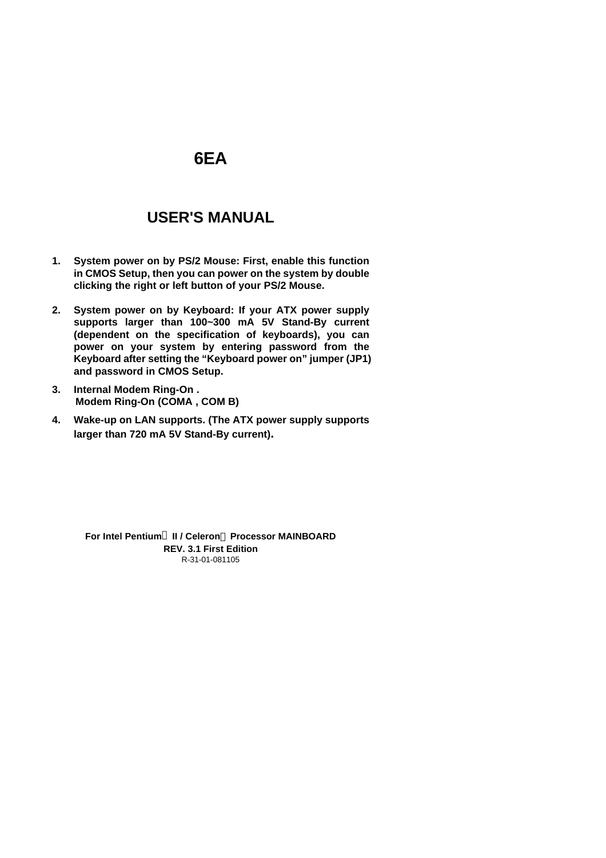# **6EA**

# **USER'S MANUAL**

- **1. System power on by PS/2 Mouse: First, enable this function in CMOS Setup, then you can power on the system by double clicking the right or left button of your PS/2 Mouse.**
- **2. System power on by Keyboard: If your ATX power supply supports larger than 100~300 mA 5V Stand-By current (dependent on the specification of keyboards), you can power on your system by entering password from the Keyboard after setting the "Keyboard power on" jumper (JP1) and password in CMOS Setup.**
- **3. Internal Modem Ring-On . Modem Ring-On (COMA , COM B)**
- **4. Wake-up on LAN supports. (The ATX power supply supports larger than 720 mA 5V Stand-By current).**

R-31-01-081105 **For Intel Pentiumâ II / Celeron Processor MAINBOARD REV. 3.1 First Edition**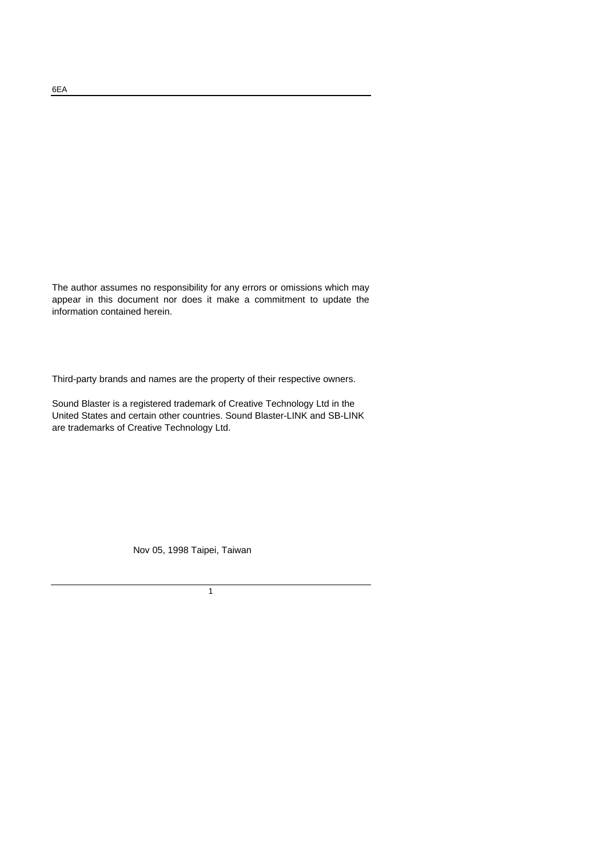The author assumes no responsibility for any errors or omissions which may appear in this document nor does it make a commitment to update the information contained herein.

Third-party brands and names are the property of their respective owners.

Sound Blaster is a registered trademark of Creative Technology Ltd in the United States and certain other countries. Sound Blaster-LINK and SB-LINK are trademarks of Creative Technology Ltd.

Nov 05, 1998 Taipei, Taiwan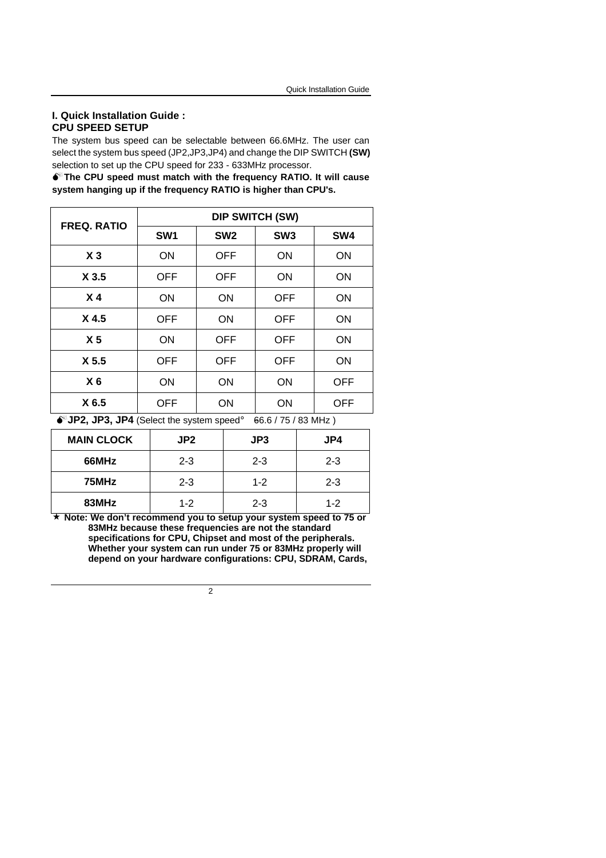### **I. Quick Installation Guide : CPU SPEED SETUP**

The system bus speed can be selectable between 66.6MHz. The user can select the system bus speed (JP2,JP3,JP4) and change the DIP SWITCH **(SW)** selection to set up the CPU speed for 233 - 633MHz processor.

 $\bullet$ <sup>\*</sup> The CPU speed must match with the frequency RATIO. It will cause **system hanging up if the frequency RATIO is higher than CPU's.**

| <b>FREQ. RATIO</b> | <b>DIP SWITCH (SW)</b> |                 |                 |            |  |
|--------------------|------------------------|-----------------|-----------------|------------|--|
|                    | SW <sub>1</sub>        | SW <sub>2</sub> | SW <sub>3</sub> | SW4        |  |
| X <sub>3</sub>     | <b>ON</b>              | <b>OFF</b>      | ON              | ON         |  |
| X 3.5              | <b>OFF</b>             | <b>OFF</b>      | ON              | ON         |  |
| X <sub>4</sub>     | ON                     | <b>ON</b>       | <b>OFF</b>      | <b>ON</b>  |  |
| X <sub>4.5</sub>   | <b>OFF</b>             | ON              | <b>OFF</b>      | ON         |  |
| X <sub>5</sub>     | <b>ON</b>              | <b>OFF</b>      | <b>OFF</b>      | <b>ON</b>  |  |
| X <sub>5.5</sub>   | <b>OFF</b>             | <b>OFF</b>      | <b>OFF</b>      | ON         |  |
| X <sub>6</sub>     | <b>ON</b>              | <b>ON</b>       | ON              | <b>OFF</b> |  |
| X 6.5              | OFF                    | ON              | ON              | <b>OFF</b> |  |

 $\bullet^*$ **JP2, JP3, JP4** (Select the system speed;  $\bullet$ 66.6 / 75 / 83 MHz)

| <b>MAIN CLOCK</b> | JP <sub>2</sub> | JP3     | JP4     |
|-------------------|-----------------|---------|---------|
| 66MHz             | $2 - 3$         | $2 - 3$ | $2 - 3$ |
| 75MHz             | $2 - 3$         | $1 - 2$ | $2 - 3$ |
| 83MHz             | $1 - 2$         | $2 - 3$ | $1 - 2$ |

**´ Note: We don't recommend you to setup your system speed to 75 or 83MHz because these frequencies are not the standard specifications for CPU, Chipset and most of the peripherals. Whether your system can run under 75 or 83MHz properly will depend on your hardware configurations: CPU, SDRAM, Cards,**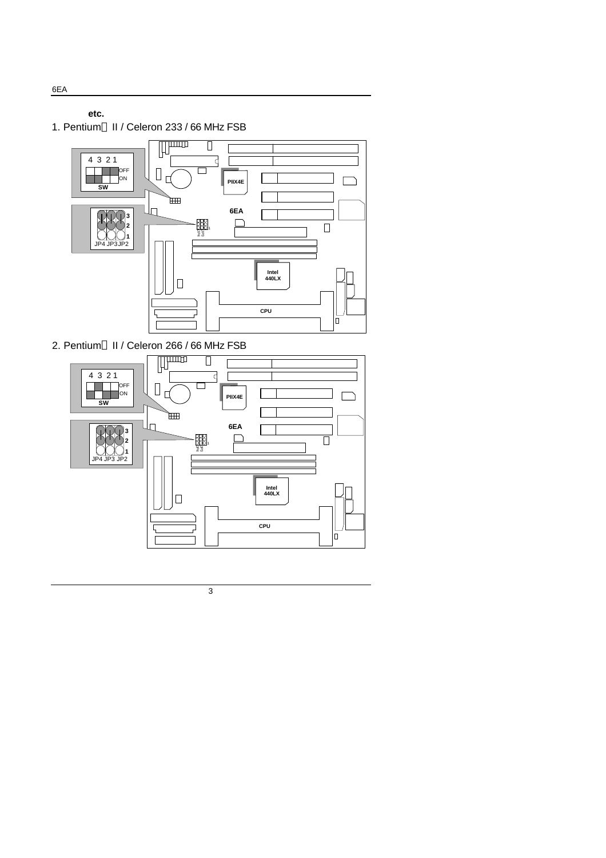**etc.**

1. Pentium<sup>®</sup> II / Celeron 233 / 66 MHz FSB



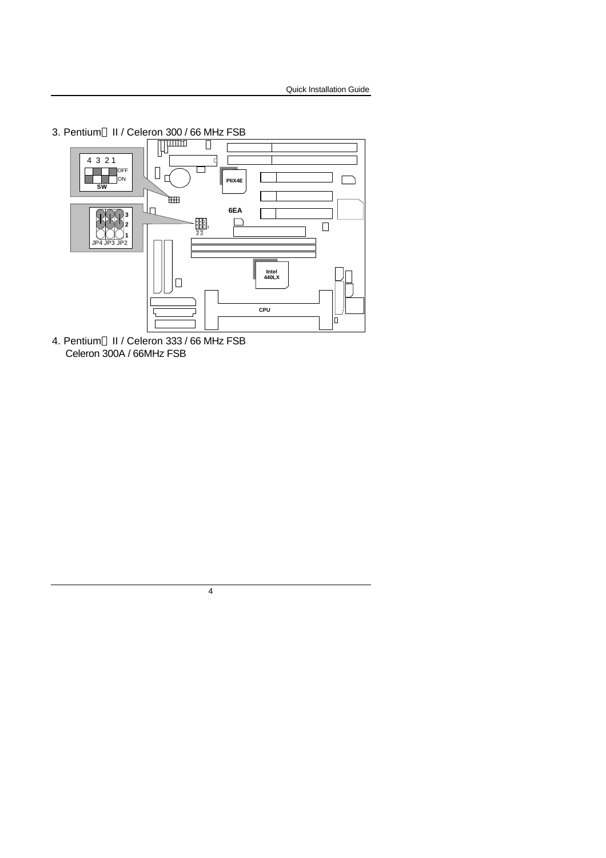

4. Pentium<sup>®</sup> II / Celeron 333 / 66 MHz FSB Celeron 300A / 66MHz FSB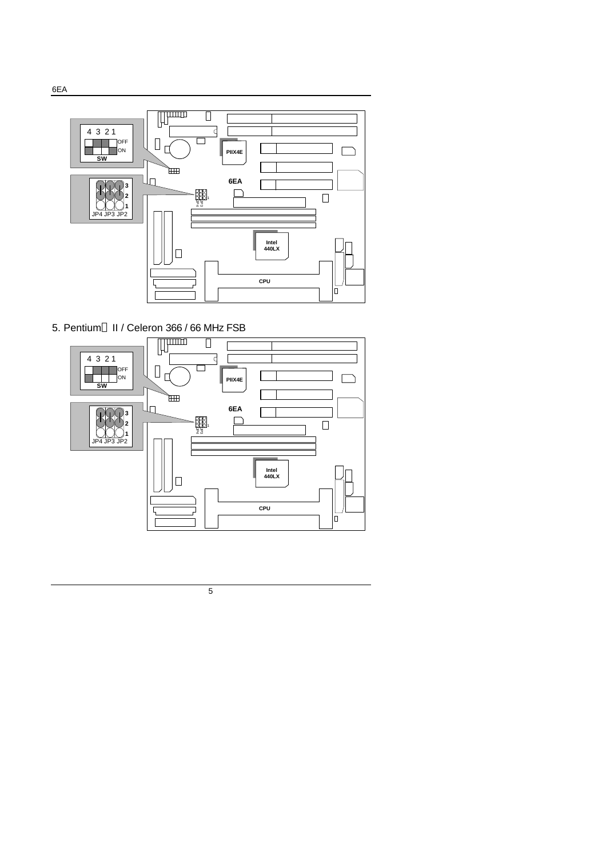



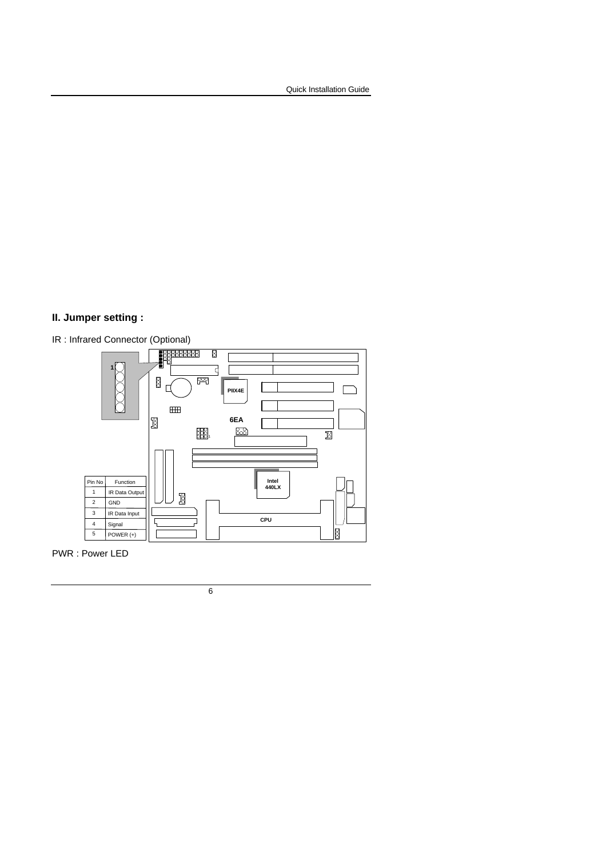## **II. Jumper setting :**



PWR : Power LED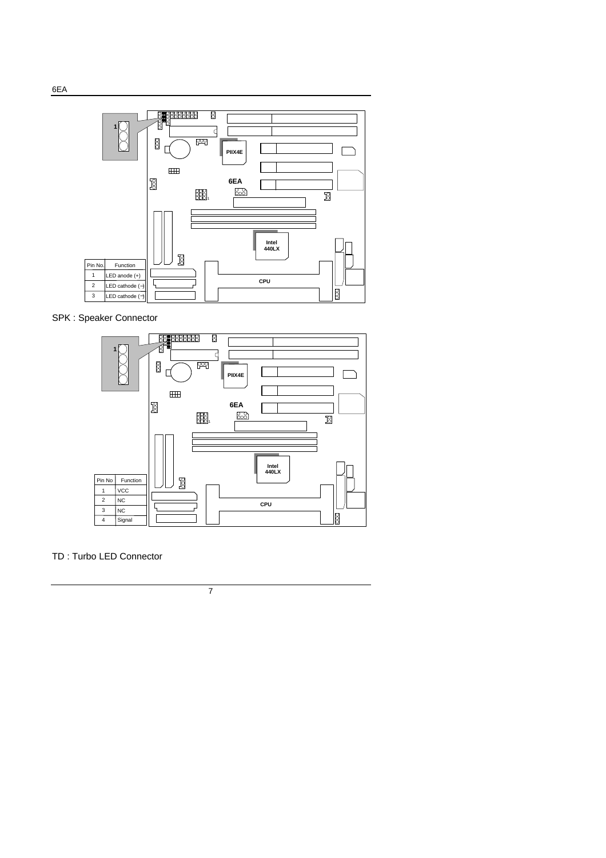

SPK : Speaker Connector



TD : Turbo LED Connector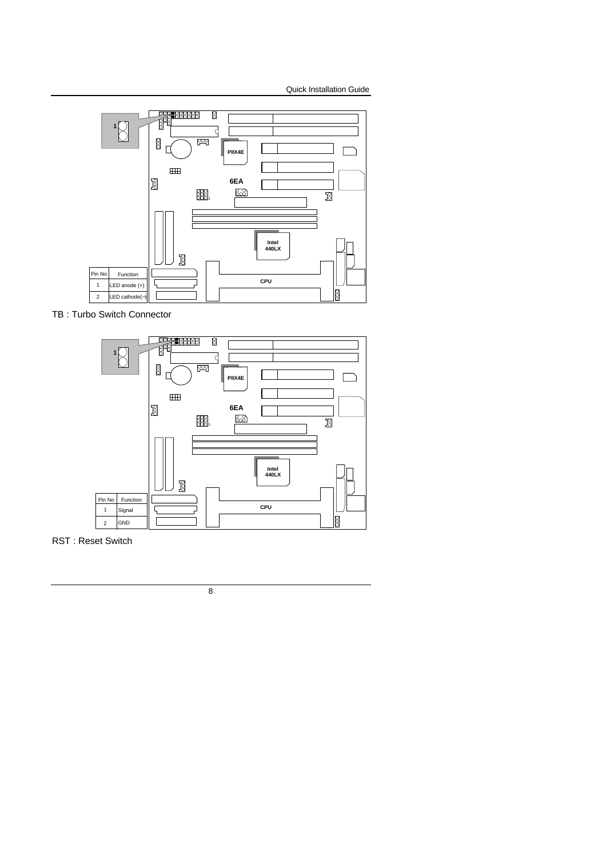

TB : Turbo Switch Connector



RST : Reset Switch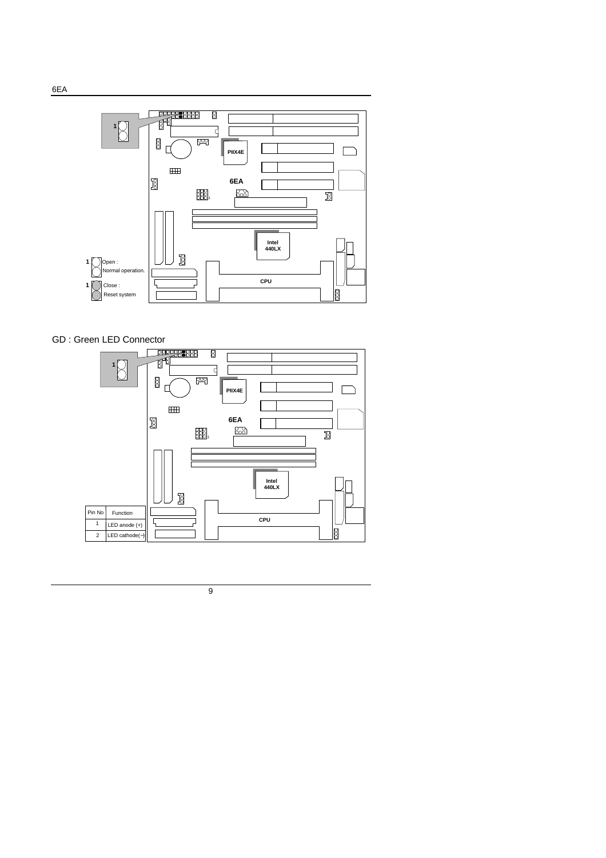

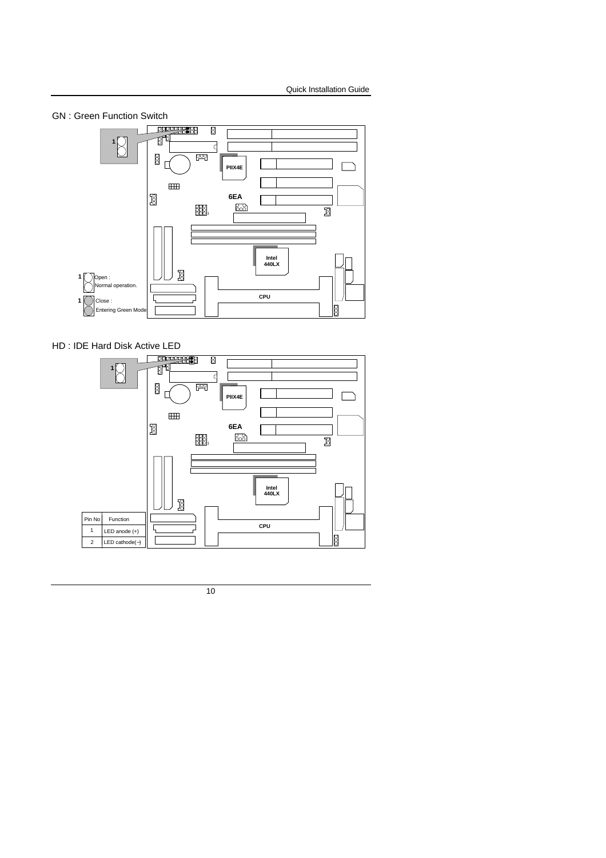

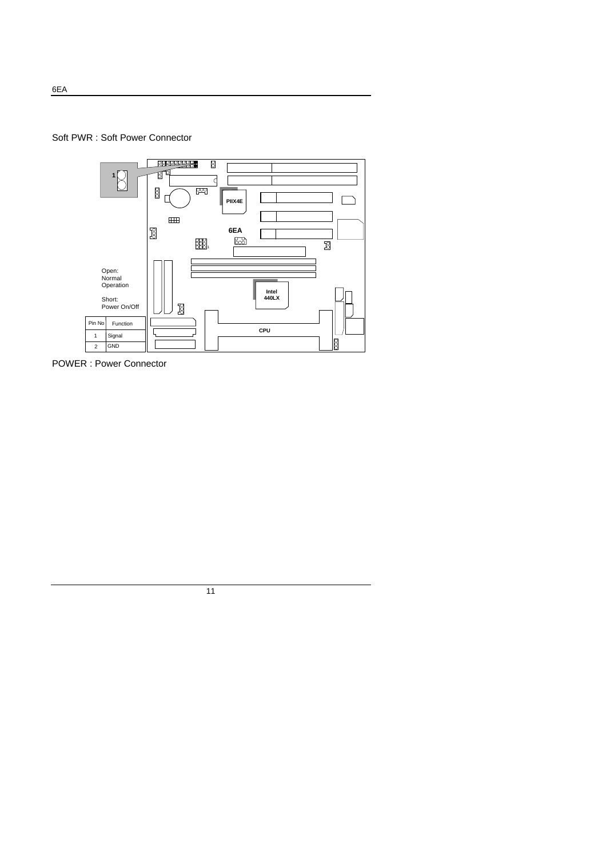



POWER : Power Connector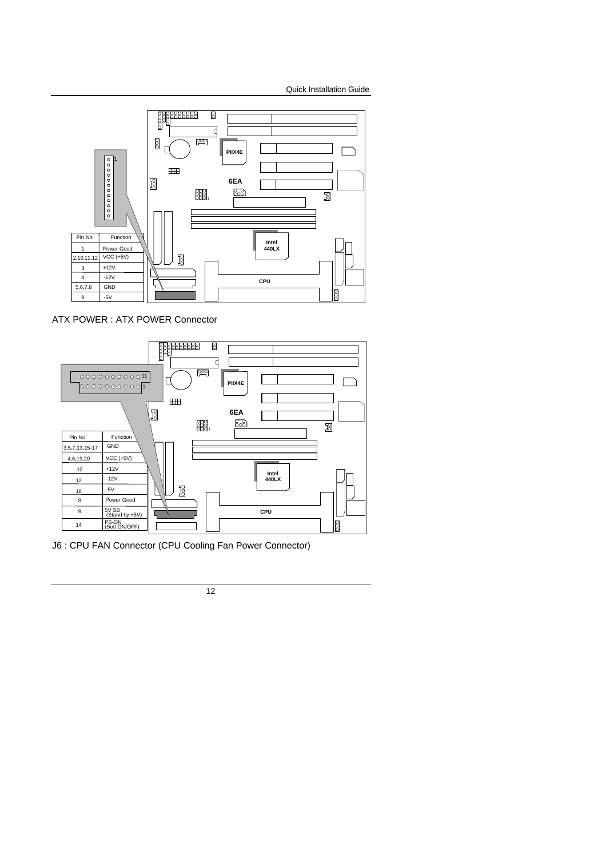

ATX POWER : ATX POWER Connector



J6 : CPU FAN Connector (CPU Cooling Fan Power Connector)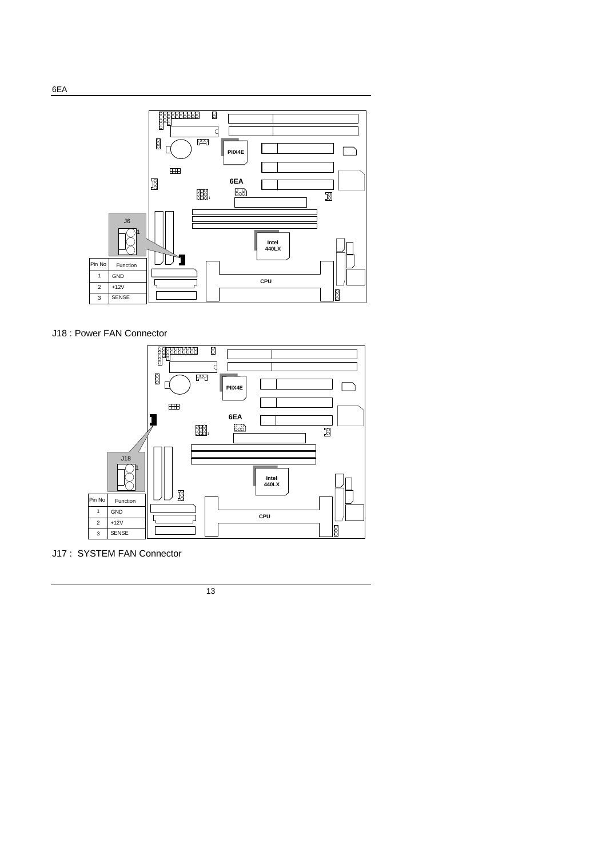

J18 : Power FAN Connector



J17 : SYSTEM FAN Connector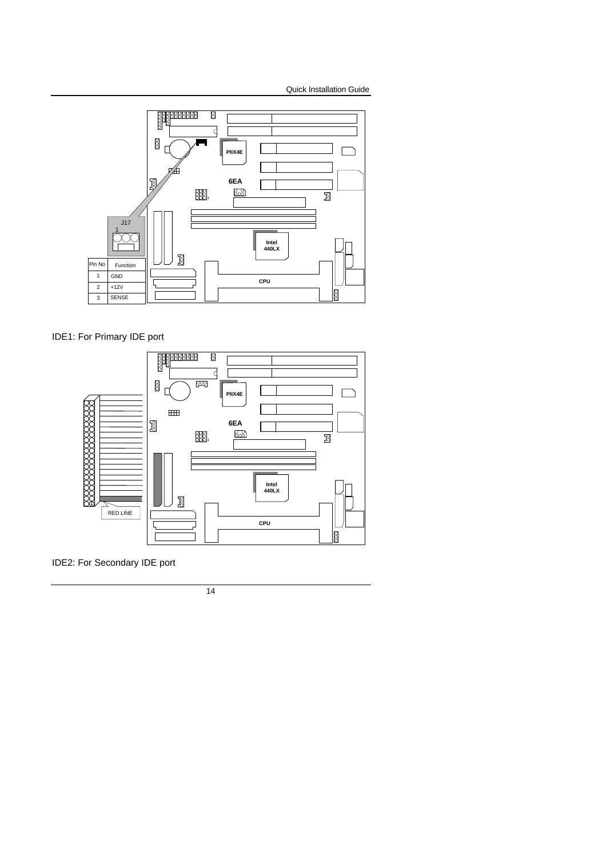

IDE1: For Primary IDE port



IDE2: For Secondary IDE port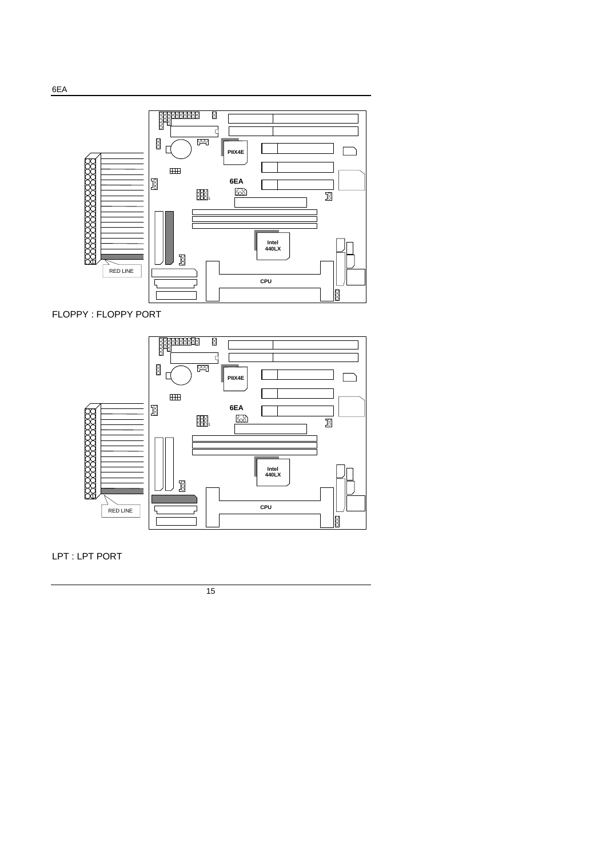LPT : LPT PORT



FLOPPY : FLOPPY PORT

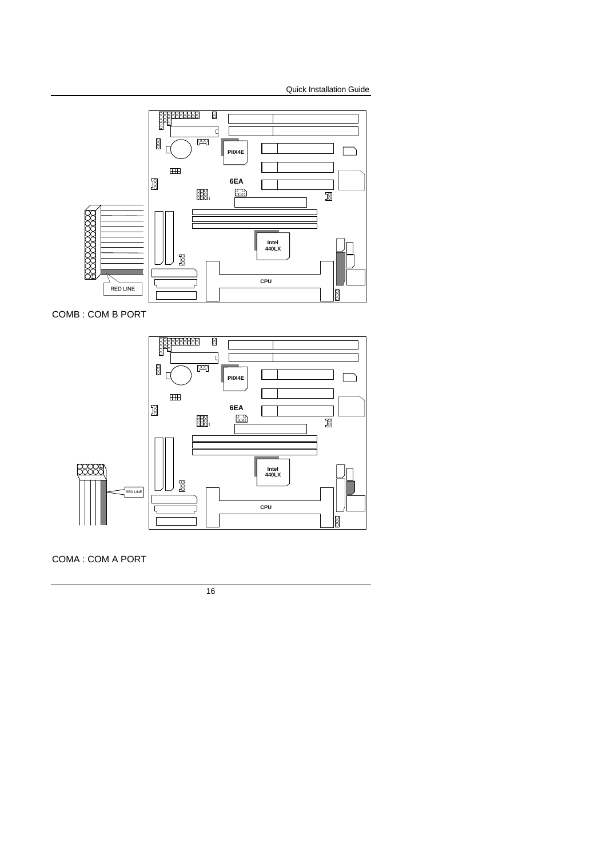

COMB : COM B PORT



COMA : COM A PORT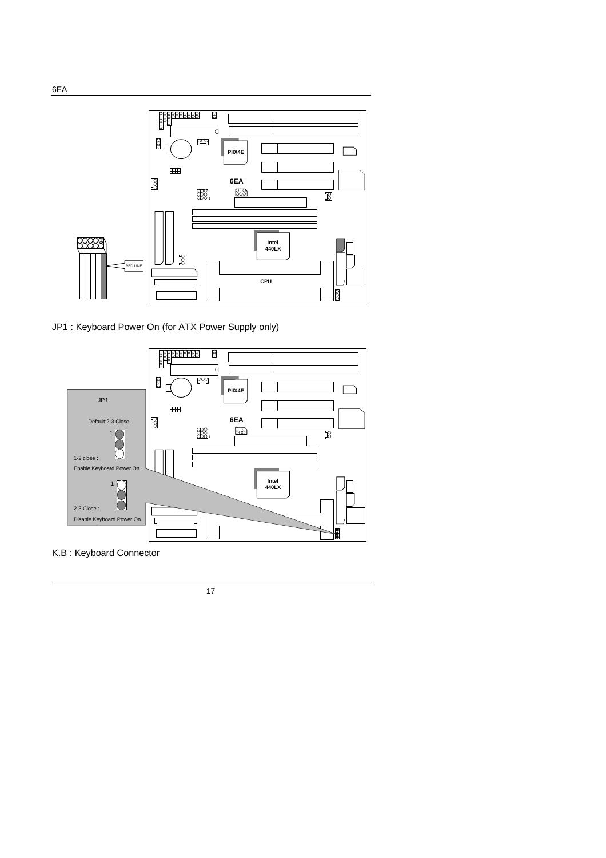

JP1 : Keyboard Power On (for ATX Power Supply only)



K.B : Keyboard Connector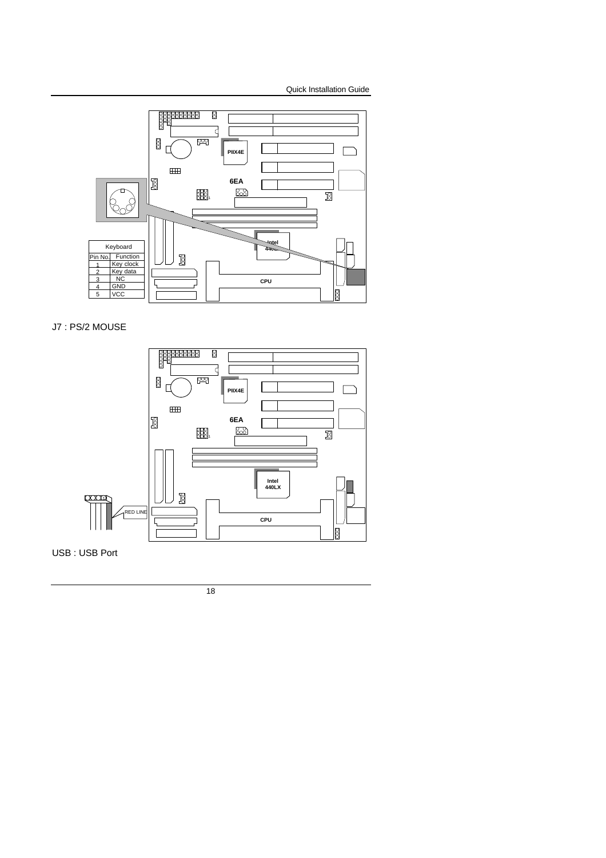

J7 : PS/2 MOUSE



USB : USB Port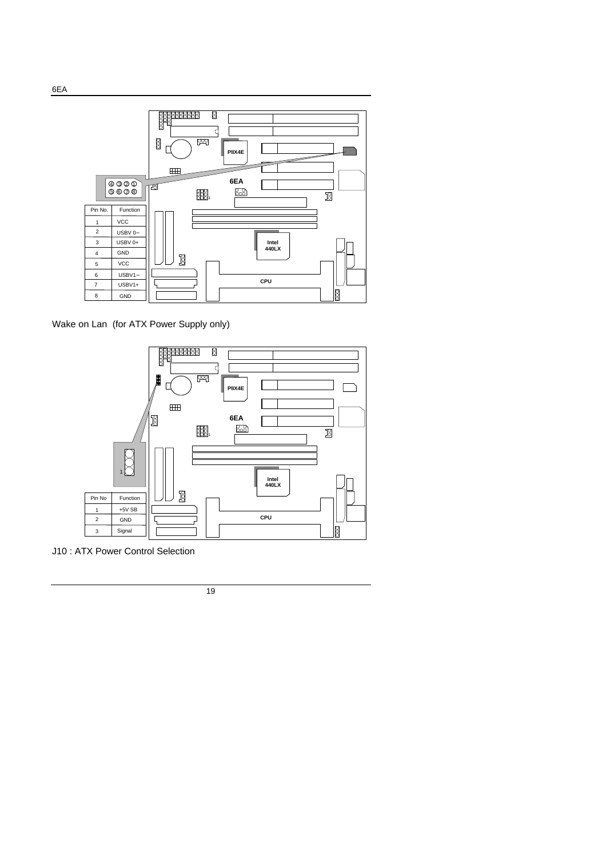

Wake on Lan (for ATX Power Supply only)



J10 : ATX Power Control Selection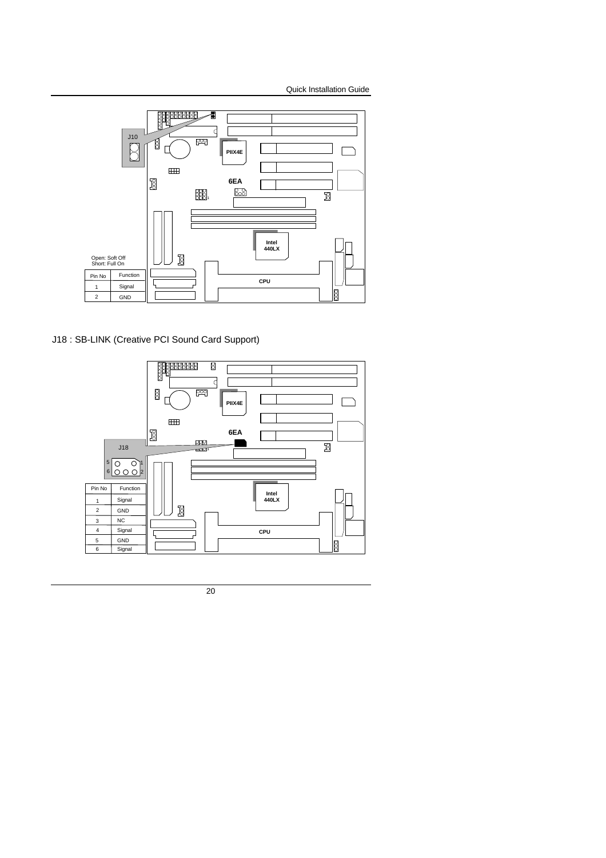

J18 : SB-LINK (Creative PCI Sound Card Support)

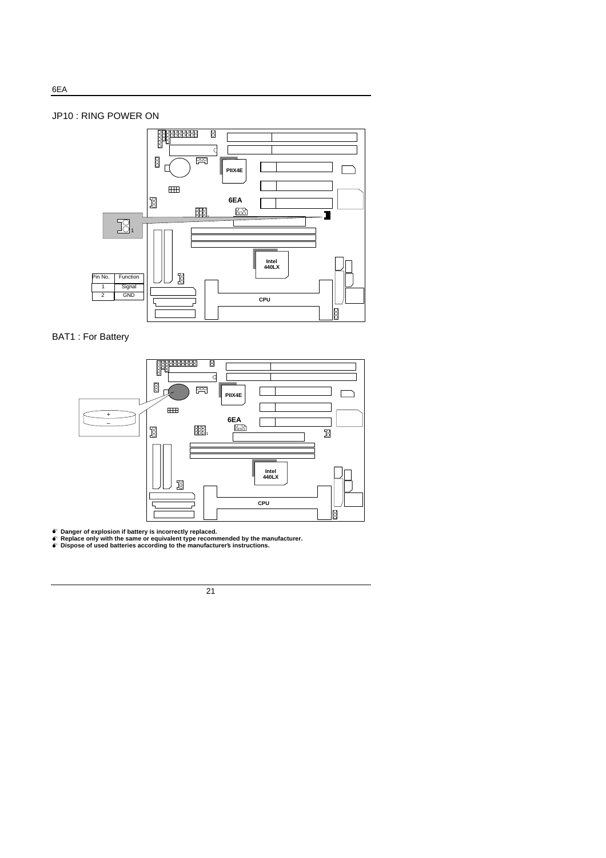

BAT1 : For Battery



ේ Danger of explosion if battery is incorrectly replaced.<br>● Replace only with the same or equivalent type recommended by the manufacturer.<br>● Dispose of used batteries according to the manufacturers instructions.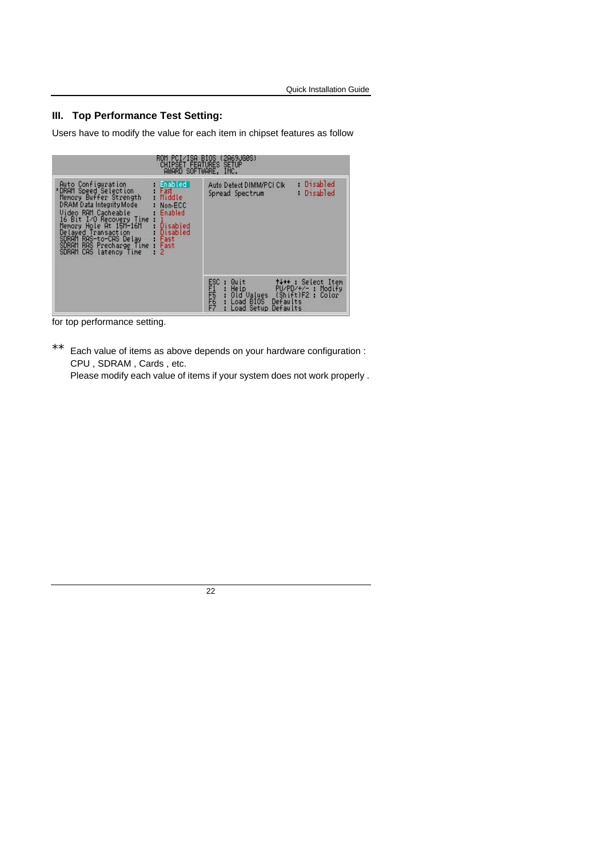## **III. Top Performance Test Setting:**

Users have to modify the value for each item in chipset features as follow

| (2H69JG0S)<br><b>PCI/ISH BIUS</b><br>ĸum<br><b>CHIPSET FEATURES SETUP</b><br>AWARD SOFTWARE, INC.                                                                                                                                                                                                                                                                                                                                      |                                                                                                                                                                                    |  |  |  |
|----------------------------------------------------------------------------------------------------------------------------------------------------------------------------------------------------------------------------------------------------------------------------------------------------------------------------------------------------------------------------------------------------------------------------------------|------------------------------------------------------------------------------------------------------------------------------------------------------------------------------------|--|--|--|
| Enabled  <br>Auto Configuration<br>*DRAM Speed Selection<br>Memory Buffer Strength<br>Fast<br>Middle<br>DRAM Data Integrity Mode<br>Non-ECC<br>Video RAM Cacheable<br>Enabled<br>16 Bit I/O Recovery Time<br>Hole At 15M-16M<br>Memory<br>Disabled<br>Disabled<br>Delayed Transaction<br>SDRAM RAS-to-CAS De<br>SDRAM RAS Precharge<br>RAS-to-CAS Delay<br>RAS Precharge Time<br>Fast<br>Fast<br><b>SDRAM</b><br>CAS latency Time<br>2 | Disabled<br>Auto Detect DIMM/PCI Clk<br>Disabled<br>Spread Spectrum                                                                                                                |  |  |  |
|                                                                                                                                                                                                                                                                                                                                                                                                                                        | ESC<br>PRODUCTS<br>PRODUCTS<br>t+++: Select Item<br>Quit<br>PU/PD/+/- : Modify<br>Help<br>(Shift)F2:<br>Old Values<br>Color<br>Defaults<br>Load BIOS<br>Defaults<br>Setup.<br>Load |  |  |  |

for top performance setting.

\*\* Each value of items as above depends on your hardware configuration : CPU , SDRAM , Cards , etc.

Please modify each value of items if your system does not work properly .